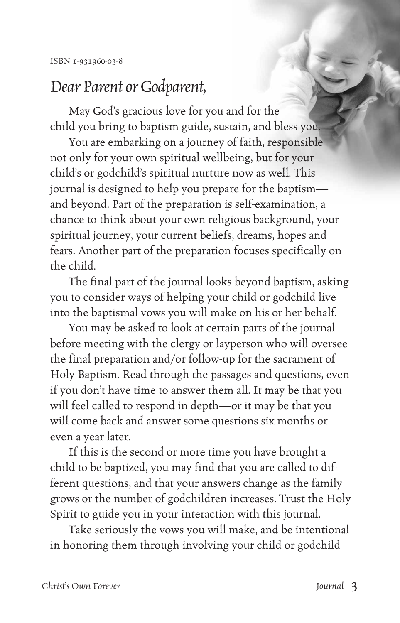## *Dear Parent or Godparent,*

May God's gracious love for you and for the child you bring to baptism guide, sustain, and bless you.

You are embarking on a journey of faith, responsible not only for your own spiritual wellbeing, but for your child's or godchild's spiritual nurture now as well. This journal is designed to help you prepare for the baptism and beyond. Part of the preparation is self-examination, a chance to think about your own religious background, your spiritual journey, your current beliefs, dreams, hopes and fears. Another part of the preparation focuses specifically on the child.

The final part of the journal looks beyond baptism, asking you to consider ways of helping your child or godchild live into the baptismal vows you will make on his or her behalf.

You may be asked to look at certain parts of the journal before meeting with the clergy or layperson who will oversee the final preparation and/or follow-up for the sacrament of Holy Baptism. Read through the passages and questions, even if you don't have time to answer them all. It may be that you will feel called to respond in depth—or it may be that you will come back and answer some questions six months or even a year later.

If this is the second or more time you have brought a child to be baptized, you may find that you are called to different questions, and that your answers change as the family grows or the number of godchildren increases. Trust the Holy Spirit to guide you in your interaction with this journal.

Take seriously the vows you will make, and be intentional in honoring them through involving your child or godchild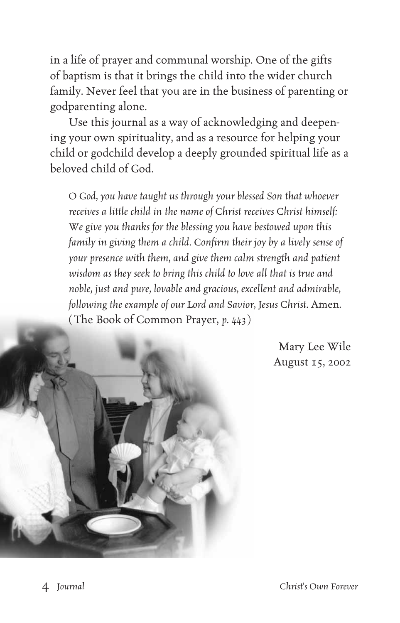in a life of prayer and communal worship. One of the gifts of baptism is that it brings the child into the wider church family. Never feel that you are in the business of parenting or godparenting alone.

Use this journal as a way of acknowledging and deepening your own spirituality, and as a resource for helping your child or godchild develop a deeply grounded spiritual life as a beloved child of God.

*O God, you have taught us through your blessed Son that whoever receives a little child in the name of Christ receives Christ himself: We give you thanks for the blessing you have bestowed upon this family in giving them a child. Confirm their joy by a lively sense of your presence with them, and give them calm strength and patient wisdom as they seek to bring this child to love all that is true and noble, just and pure, lovable and gracious, excellent and admirable, following the example of our Lord and Savior, Jesus Christ.* Amen. ( The Book of Common Prayer, *p. 443*)

> Mary Lee Wile August 15, 2002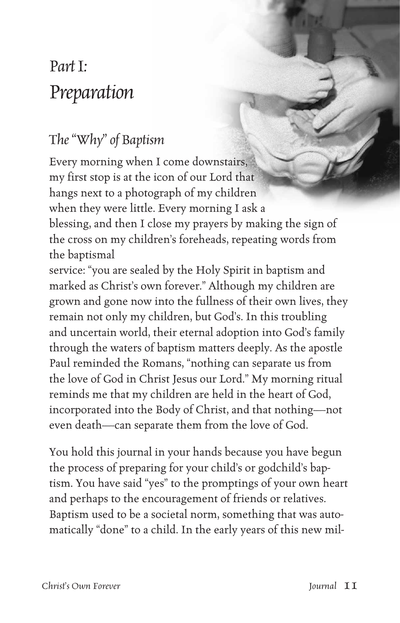## *Part I: Preparation*

## *The "Why" of Baptism*

Every morning when I come downstairs, my first stop is at the icon of our Lord that hangs next to a photograph of my children when they were little. Every morning I ask a blessing, and then I close my prayers by making the sign of the cross on my children's foreheads, repeating words from the baptismal

service: "you are sealed by the Holy Spirit in baptism and marked as Christ's own forever." Although my children are grown and gone now into the fullness of their own lives, they remain not only my children, but God's. In this troubling and uncertain world, their eternal adoption into God's family through the waters of baptism matters deeply. As the apostle Paul reminded the Romans, "nothing can separate us from the love of God in Christ Jesus our Lord." My morning ritual reminds me that my children are held in the heart of God, incorporated into the Body of Christ, and that nothing—not even death—can separate them from the love of God.

You hold this journal in your hands because you have begun the process of preparing for your child's or godchild's baptism. You have said "yes" to the promptings of your own heart and perhaps to the encouragement of friends or relatives. Baptism used to be a societal norm, something that was automatically "done" to a child. In the early years of this new mil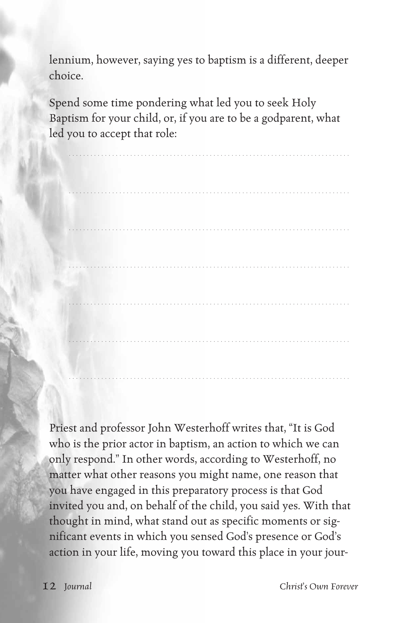lennium, however, saying yes to baptism is a different, deeper choice.

Spend some time pondering what led you to seek Holy Baptism for your child, or, if you are to be a godparent, what led you to accept that role:

. . . . . . . . . . . . . . . . . . . . . . . . . . . . . . . . . . . . . . . . . . . . . . . . . . . . . . . . . . . . . . . . . . . . . . . . . . . . .

. . . . . . . . . . . . . . . . . . . . . . . . . . . . . . . . . . . . . . . . . . . . . . . . . . . . . . . . . . . . . . . . . . . . . . . . . . . . .

. . . . . . . . . . . . . . . . . . . . . . . . . . . . . . . . . . . . . . . . . . . . . . . . . . . . . . . . . . . . . . . . . . . . . . . . . . . . .

. . . . . . . . . . . . . . . . . . . . . . . . . . . . . . . . . . . . . . . . . . . . . . . . . . . . . . . . . . . . . . . . . . . . . . . . . . . . .

. . . . . . . . . . . . . . . . . . . . . . . . . . . . . . . . . . . . . . . . . . . . . . . . . . . . . . . . . . . . . . . . . . . . . . . . . . . . .

. . . . . . . . . . . . . . . . . . . . . . . . . . . . . . . . . . . . . . . . . . . . . . . . . . . . . . . . . . . . . . . . . . . . . . . . . . . . .

Priest and professor John Westerhoff writes that, "It is God who is the prior actor in baptism, an action to which we can only respond." In other words, according to Westerhoff, no matter what other reasons you might name, one reason that you have engaged in this preparatory process is that God invited you and, on behalf of the child, you said yes. With that thought in mind, what stand out as specific moments or significant events in which you sensed God's presence or God's action in your life, moving you toward this place in your jour-

12 *Journal Christ's Own Forever*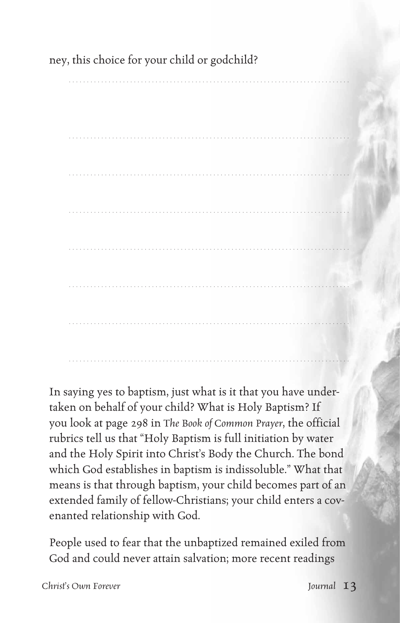## ney, this choice for your child or godchild?

In saying yes to baptism, just what is it that you have undertaken on behalf of your child? What is Holy Baptism? If you look at page 298 in The Book of Common Prayer, the official rubrics tell us that "Holy Baptism is full initiation by water and the Holy Spirit into Christ's Body the Church. The bond which God establishes in baptism is indissoluble." What that means is that through baptism, your child becomes part of an extended family of fellow-Christians; your child enters a covenanted relationship with God.

People used to fear that the unbaptized remained exiled from God and could never attain salvation; more recent readings